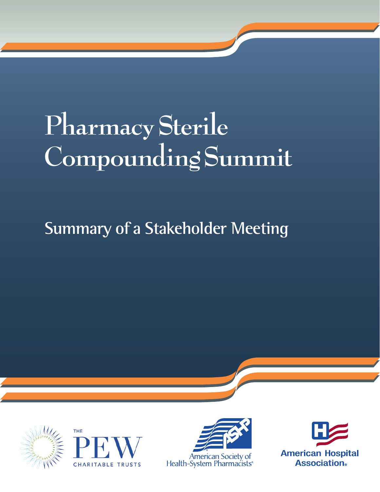# **Pharmacy Sterile Compounding Summit**

## **Summary of a Stakeholder Meeting**







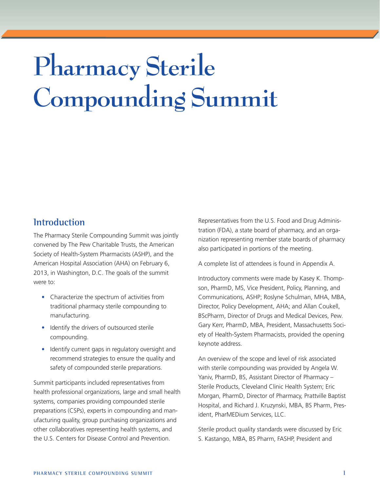# **Pharmacy Sterile Compounding Summit**

#### **Introduction**

The Pharmacy Sterile Compounding Summit was jointly convened by The Pew Charitable Trusts, the American Society of Health-System Pharmacists (ASHP), and the American Hospital Association (AHA) on February 6, 2013, in Washington, D.C. The goals of the summit were to:

- Characterize the spectrum of activities from traditional pharmacy sterile compounding to manufacturing.
- Identify the drivers of outsourced sterile compounding.
- Identify current gaps in regulatory oversight and recommend strategies to ensure the quality and safety of compounded sterile preparations.

Summit participants included representatives from health professional organizations, large and small health systems, companies providing compounded sterile preparations (CSPs), experts in compounding and manufacturing quality, group purchasing organizations and other collaboratives representing health systems, and the U.S. Centers for Disease Control and Prevention.

Representatives from the U.S. Food and Drug Administration (FDA), a state board of pharmacy, and an organization representing member state boards of pharmacy also participated in portions of the meeting.

A complete list of attendees is found in Appendix A.

Introductory comments were made by Kasey K. Thompson, PharmD, MS, Vice President, Policy, Planning, and Communications, ASHP; Roslyne Schulman, MHA, MBA, Director, Policy Development, AHA; and Allan Coukell, BScPharm, Director of Drugs and Medical Devices, Pew. Gary Kerr, PharmD, MBA, President, Massachusetts Society of Health-System Pharmacists, provided the opening keynote address.

An overview of the scope and level of risk associated with sterile compounding was provided by Angela W. Yaniv, PharmD, BS, Assistant Director of Pharmacy – Sterile Products, Cleveland Clinic Health System; Eric Morgan, PharmD, Director of Pharmacy, Prattville Baptist Hospital, and Richard J. Kruzynski, MBA, BS Pharm, President, PharMEDium Services, LLC.

Sterile product quality standards were discussed by Eric S. Kastango, MBA, BS Pharm, FASHP, President and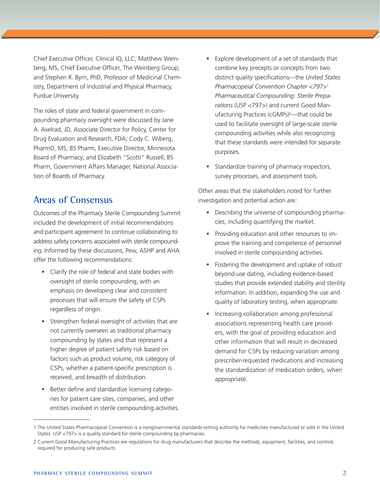Chief Executive Officer, Clinical IQ, LLC; Matthew Weinberg, MS, Chief Executive Officer, The Weinberg Group; and Stephen R. Byrn, PhD, Professor of Medicinal Chemistry, Department of Industrial and Physical Pharmacy, Purdue University.

The roles of state and federal government in compounding pharmacy oversight were discussed by Jane A. Axelrad, JD, Associate Director for Policy, Center for Drug Evaluation and Research, FDA; Cody C. Wiberg, PharmD, MS, BS Pharm, Executive Director, Minnesota Board of Pharmacy; and Elizabeth "Scotti" Russell, BS Pharm, Government Affairs Manager, National Association of Boards of Pharmacy.

#### **Areas of Consensus**

Outcomes of the Pharmacy Sterile Compounding Summit included the development of initial recommendations and participant agreement to continue collaborating to address safety concerns associated with sterile compounding. Informed by these discussions, Pew, ASHP and AHA offer the following recommendations:

- Clarify the role of federal and state bodies with oversight of sterile compounding, with an emphasis on developing clear and consistent processes that will ensure the safety of CSPs regardless of origin.
- Strengthen federal oversight of activities that are not currently overseen as traditional pharmacy compounding by states and that represent a higher degree of patient safety risk based on factors such as product volume, risk category of CSPs, whether a patient-specific prescription is received, and breadth of distribution.
- Better define and standardize licensing categories for patient care sites, companies, and other entities involved in sterile compounding activities.
- Explore development of a set of standards that combine key precepts or concepts from two distinct quality specifications—the *United States Pharmacopeial Convention Chapter <797>*<sup>1</sup> *Pharmaceutical Compounding: Sterile Preparations* (USP <797>) and current Good Manufacturing Practices (cGMPs)<sup>2</sup>—that could be used to facilitate oversight of large-scale sterile compounding activities while also recognizing that these standards were intended for separate purposes.
- Standardize training of pharmacy inspectors, survey processes, and assessment tools.

Other areas that the stakeholders noted for further investigation and potential action are:

- Describing the universe of compounding pharmacies, including quantifying the market.
- Providing education and other resources to improve the training and competence of personnel involved in sterile compounding activities.
- Fostering the development and uptake of robust beyond-use dating, including evidence-based studies that provide extended stability and sterility information. In addition, expanding the use and quality of laboratory testing, when appropriate.
- Increasing collaboration among professional associations representing health care providers, with the goal of providing education and other information that will result in decreased demand for CSPs by reducing variation among prescriber-requested medications and increasing the standardization of medication orders, when appropriate.

<sup>1</sup> The United States Pharmacopeial Convention is a nongovernmental standards-setting authority for medicines manufactured or sold in the United States. USP <797> is a quality standard for sterile compounding by pharmacies.

<sup>2</sup> Current Good Manufacturing Practices are regulations for drug manufacturers that describe the methods, equipment, facilities, and controls required for producing safe products.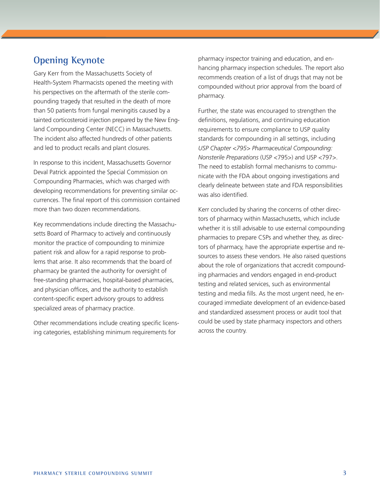#### **Opening Keynote**

Gary Kerr from the Massachusetts Society of Health-System Pharmacists opened the meeting with his perspectives on the aftermath of the sterile compounding tragedy that resulted in the death of more than 50 patients from fungal meningitis caused by a tainted corticosteroid injection prepared by the New England Compounding Center (NECC) in Massachusetts. The incident also affected hundreds of other patients and led to product recalls and plant closures.

In response to this incident, Massachusetts Governor Deval Patrick appointed the Special Commission on Compounding Pharmacies, which was charged with developing recommendations for preventing similar occurrences. The final report of this commission contained more than two dozen recommendations.

Key recommendations include directing the Massachusetts Board of Pharmacy to actively and continuously monitor the practice of compounding to minimize patient risk and allow for a rapid response to problems that arise. It also recommends that the board of pharmacy be granted the authority for oversight of free-standing pharmacies, hospital-based pharmacies, and physician offices, and the authority to establish content-specific expert advisory groups to address specialized areas of pharmacy practice.

Other recommendations include creating specific licensing categories, establishing minimum requirements for

pharmacy inspector training and education, and enhancing pharmacy inspection schedules. The report also recommends creation of a list of drugs that may not be compounded without prior approval from the board of pharmacy.

Further, the state was encouraged to strengthen the definitions, regulations, and continuing education requirements to ensure compliance to USP quality standards for compounding in all settings, including *USP Chapter <795> Pharmaceutical Compounding: Nonsterile Preparations* (USP <795>) and USP <797>. The need to establish formal mechanisms to communicate with the FDA about ongoing investigations and clearly delineate between state and FDA responsibilities was also identified.

Kerr concluded by sharing the concerns of other directors of pharmacy within Massachusetts, which include whether it is still advisable to use external compounding pharmacies to prepare CSPs and whether they, as directors of pharmacy, have the appropriate expertise and resources to assess these vendors. He also raised questions about the role of organizations that accredit compounding pharmacies and vendors engaged in end-product testing and related services, such as environmental testing and media fills. As the most urgent need, he encouraged immediate development of an evidence-based and standardized assessment process or audit tool that could be used by state pharmacy inspectors and others across the country.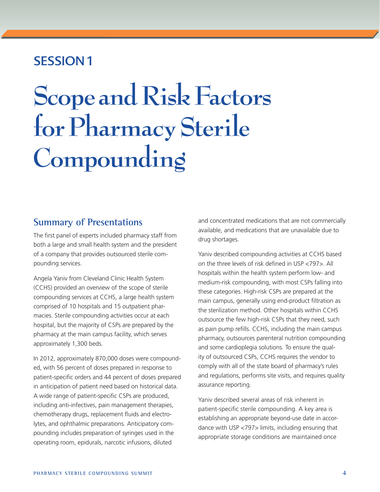## SESSION 1

# **Scope and Risk Factors for Pharmacy Sterile Compounding**

#### **Summary of Presentations**

The first panel of experts included pharmacy staff from both a large and small health system and the president of a company that provides outsourced sterile compounding services.

Angela Yaniv from Cleveland Clinic Health System (CCHS) provided an overview of the scope of sterile compounding services at CCHS, a large health system comprised of 10 hospitals and 15 outpatient pharmacies. Sterile compounding activities occur at each hospital, but the majority of CSPs are prepared by the pharmacy at the main campus facility, which serves approximately 1,300 beds.

In 2012, approximately 870,000 doses were compounded, with 56 percent of doses prepared in response to patient-specific orders and 44 percent of doses prepared in anticipation of patient need based on historical data. A wide range of patient-specific CSPs are produced, including anti-infectives, pain management therapies, chemotherapy drugs, replacement fluids and electrolytes, and ophthalmic preparations. Anticipatory compounding includes preparation of syringes used in the operating room, epidurals, narcotic infusions, diluted

and concentrated medications that are not commercially available, and medications that are unavailable due to drug shortages.

Yaniv described compounding activities at CCHS based on the three levels of risk defined in USP <797>. All hospitals within the health system perform low- and medium-risk compounding, with most CSPs falling into these categories. High-risk CSPs are prepared at the main campus, generally using end-product filtration as the sterilization method. Other hospitals within CCHS outsource the few high-risk CSPs that they need, such as pain pump refills. CCHS, including the main campus pharmacy, outsources parenteral nutrition compounding and some cardioplegia solutions. To ensure the quality of outsourced CSPs, CCHS requires the vendor to comply with all of the state board of pharmacy's rules and regulations, performs site visits, and requires quality assurance reporting.

Yaniv described several areas of risk inherent in patient-specific sterile compounding. A key area is establishing an appropriate beyond-use date in accordance with USP <797> limits, including ensuring that appropriate storage conditions are maintained once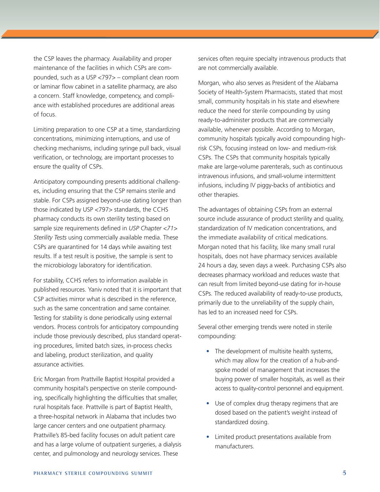the CSP leaves the pharmacy. Availability and proper maintenance of the facilities in which CSPs are compounded, such as a USP <797> – compliant clean room or laminar flow cabinet in a satellite pharmacy, are also a concern. Staff knowledge, competency, and compliance with established procedures are additional areas of focus.

Limiting preparation to one CSP at a time, standardizing concentrations, minimizing interruptions, and use of checking mechanisms, including syringe pull back, visual verification, or technology, are important processes to ensure the quality of CSPs.

Anticipatory compounding presents additional challenges, including ensuring that the CSP remains sterile and stable. For CSPs assigned beyond-use dating longer than those indicated by USP <797> standards, the CCHS pharmacy conducts its own sterility testing based on sample size requirements defined in *USP Chapter <71> Sterility Tests* using commercially available media. These CSPs are quarantined for 14 days while awaiting test results. If a test result is positive, the sample is sent to the microbiology laboratory for identification.

For stability, CCHS refers to information available in published resources. Yaniv noted that it is important that CSP activities mirror what is described in the reference, such as the same concentration and same container. Testing for stability is done periodically using external vendors. Process controls for anticipatory compounding include those previously described, plus standard operating procedures, limited batch sizes, in-process checks and labeling, product sterilization, and quality assurance activities.

Eric Morgan from Prattville Baptist Hospital provided a community hospital's perspective on sterile compounding, specifically highlighting the difficulties that smaller, rural hospitals face. Prattville is part of Baptist Health, a three-hospital network in Alabama that includes two large cancer centers and one outpatient pharmacy. Prattville's 85-bed facility focuses on adult patient care and has a large volume of outpatient surgeries, a dialysis center, and pulmonology and neurology services. These

services often require specialty intravenous products that are not commercially available.

Morgan, who also serves as President of the Alabama Society of Health-System Pharmacists, stated that most small, community hospitals in his state and elsewhere reduce the need for sterile compounding by using ready-to-administer products that are commercially available, whenever possible. According to Morgan, community hospitals typically avoid compounding highrisk CSPs, focusing instead on low- and medium-risk CSPs. The CSPs that community hospitals typically make are large-volume parenterals, such as continuous intravenous infusions, and small-volume intermittent infusions, including IV piggy-backs of antibiotics and other therapies.

The advantages of obtaining CSPs from an external source include assurance of product sterility and quality, standardization of IV medication concentrations, and the immediate availability of critical medications. Morgan noted that his facility, like many small rural hospitals, does not have pharmacy services available 24 hours a day, seven days a week. Purchasing CSPs also decreases pharmacy workload and reduces waste that can result from limited beyond-use dating for in-house CSPs. The reduced availability of ready-to-use products, primarily due to the unreliability of the supply chain, has led to an increased need for CSPs.

Several other emerging trends were noted in sterile compounding:

- The development of multisite health systems, which may allow for the creation of a hub-andspoke model of management that increases the buying power of smaller hospitals, as well as their access to quality-control personnel and equipment.
- Use of complex drug therapy regimens that are dosed based on the patient's weight instead of standardized dosing.
- Limited product presentations available from manufacturers.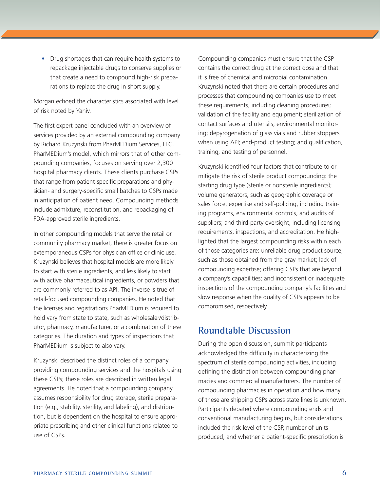• Drug shortages that can require health systems to repackage injectable drugs to conserve supplies or that create a need to compound high-risk preparations to replace the drug in short supply.

Morgan echoed the characteristics associated with level of risk noted by Yaniv.

The first expert panel concluded with an overview of services provided by an external compounding company by Richard Kruzynski from PharMEDium Services, LLC. PharMEDium's model, which mirrors that of other compounding companies, focuses on serving over 2,300 hospital pharmacy clients. These clients purchase CSPs that range from patient-specific preparations and physician- and surgery-specific small batches to CSPs made in anticipation of patient need. Compounding methods include admixture, reconstitution, and repackaging of FDA-approved sterile ingredients.

In other compounding models that serve the retail or community pharmacy market, there is greater focus on extemporaneous CSPs for physician office or clinic use. Kruzynski believes that hospital models are more likely to start with sterile ingredients, and less likely to start with active pharmaceutical ingredients, or powders that are commonly referred to as API. The inverse is true of retail-focused compounding companies. He noted that the licenses and registrations PharMEDium is required to hold vary from state to state, such as wholesaler/distributor, pharmacy, manufacturer, or a combination of these categories. The duration and types of inspections that PharMEDium is subject to also vary.

Kruzynski described the distinct roles of a company providing compounding services and the hospitals using these CSPs; these roles are described in written legal agreements. He noted that a compounding company assumes responsibility for drug storage, sterile preparation (e.g., stability, sterility, and labeling), and distribution, but is dependent on the hospital to ensure appropriate prescribing and other clinical functions related to use of CSPs.

Compounding companies must ensure that the CSP contains the correct drug at the correct dose and that it is free of chemical and microbial contamination. Kruzynski noted that there are certain procedures and processes that compounding companies use to meet these requirements, including cleaning procedures; validation of the facility and equipment; sterilization of contact surfaces and utensils; environmental monitoring; depyrogenation of glass vials and rubber stoppers when using API; end-product testing; and qualification, training, and testing of personnel.

Kruzynski identified four factors that contribute to or mitigate the risk of sterile product compounding: the starting drug type (sterile or nonsterile ingredients); volume generators, such as geographic coverage or sales force; expertise and self-policing, including training programs, environmental controls, and audits of suppliers; and third-party oversight, including licensing requirements, inspections, and accreditation. He highlighted that the largest compounding risks within each of those categories are: unreliable drug product source, such as those obtained from the gray market; lack of compounding expertise; offering CSPs that are beyond a company's capabilities; and inconsistent or inadequate inspections of the compounding company's facilities and slow response when the quality of CSPs appears to be compromised, respectively.

#### **Roundtable Discussion**

During the open discussion, summit participants acknowledged the difficulty in characterizing the spectrum of sterile compounding activities, including defining the distinction between compounding pharmacies and commercial manufacturers. The number of compounding pharmacies in operation and how many of these are shipping CSPs across state lines is unknown. Participants debated where compounding ends and conventional manufacturing begins, but considerations included the risk level of the CSP, number of units produced, and whether a patient-specific prescription is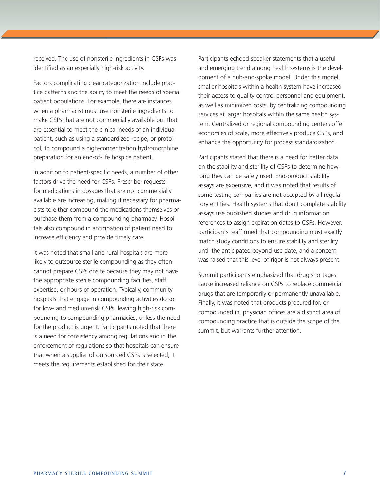received. The use of nonsterile ingredients in CSPs was identified as an especially high-risk activity.

Factors complicating clear categorization include practice patterns and the ability to meet the needs of special patient populations. For example, there are instances when a pharmacist must use nonsterile ingredients to make CSPs that are not commercially available but that are essential to meet the clinical needs of an individual patient, such as using a standardized recipe, or protocol, to compound a high-concentration hydromorphine preparation for an end-of-life hospice patient.

In addition to patient-specific needs, a number of other factors drive the need for CSPs. Prescriber requests for medications in dosages that are not commercially available are increasing, making it necessary for pharmacists to either compound the medications themselves or purchase them from a compounding pharmacy. Hospitals also compound in anticipation of patient need to increase efficiency and provide timely care.

It was noted that small and rural hospitals are more likely to outsource sterile compounding as they often cannot prepare CSPs onsite because they may not have the appropriate sterile compounding facilities, staff expertise, or hours of operation. Typically, community hospitals that engage in compounding activities do so for low- and medium-risk CSPs, leaving high-risk compounding to compounding pharmacies, unless the need for the product is urgent. Participants noted that there is a need for consistency among regulations and in the enforcement of regulations so that hospitals can ensure that when a supplier of outsourced CSPs is selected, it meets the requirements established for their state.

Participants echoed speaker statements that a useful and emerging trend among health systems is the development of a hub-and-spoke model. Under this model, smaller hospitals within a health system have increased their access to quality-control personnel and equipment, as well as minimized costs, by centralizing compounding services at larger hospitals within the same health system. Centralized or regional compounding centers offer economies of scale, more effectively produce CSPs, and enhance the opportunity for process standardization.

Participants stated that there is a need for better data on the stability and sterility of CSPs to determine how long they can be safely used. End-product stability assays are expensive, and it was noted that results of some testing companies are not accepted by all regulatory entities. Health systems that don't complete stability assays use published studies and drug information references to assign expiration dates to CSPs. However, participants reaffirmed that compounding must exactly match study conditions to ensure stability and sterility until the anticipated beyond-use date, and a concern was raised that this level of rigor is not always present.

Summit participants emphasized that drug shortages cause increased reliance on CSPs to replace commercial drugs that are temporarily or permanently unavailable. Finally, it was noted that products procured for, or compounded in, physician offices are a distinct area of compounding practice that is outside the scope of the summit, but warrants further attention.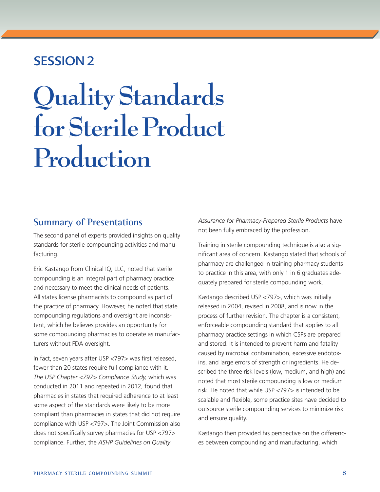## SESSION 2

## **Quality Standards for Sterile Product Production**

#### **Summary of Presentations**

The second panel of experts provided insights on quality standards for sterile compounding activities and manufacturing.

Eric Kastango from Clinical IQ, LLC, noted that sterile compounding is an integral part of pharmacy practice and necessary to meet the clinical needs of patients. All states license pharmacists to compound as part of the practice of pharmacy. However, he noted that state compounding regulations and oversight are inconsistent, which he believes provides an opportunity for some compounding pharmacies to operate as manufacturers without FDA oversight.

In fact, seven years after USP <797> was first released, fewer than 20 states require full compliance with it. *The USP Chapter <797> Compliance Study,* which was conducted in 2011 and repeated in 2012, found that pharmacies in states that required adherence to at least some aspect of the standards were likely to be more compliant than pharmacies in states that did not require compliance with USP <797>. The Joint Commission also does not specifically survey pharmacies for USP <797> compliance. Further, the *ASHP Guidelines on Quality* 

*Assurance for Pharmacy-Prepared Sterile Products* have not been fully embraced by the profession.

Training in sterile compounding technique is also a significant area of concern. Kastango stated that schools of pharmacy are challenged in training pharmacy students to practice in this area, with only 1 in 6 graduates adequately prepared for sterile compounding work.

Kastango described USP <797>, which was initially released in 2004, revised in 2008, and is now in the process of further revision. The chapter is a consistent, enforceable compounding standard that applies to all pharmacy practice settings in which CSPs are prepared and stored. It is intended to prevent harm and fatality caused by microbial contamination, excessive endotoxins, and large errors of strength or ingredients. He described the three risk levels (low, medium, and high) and noted that most sterile compounding is low or medium risk. He noted that while USP <797> is intended to be scalable and flexible, some practice sites have decided to outsource sterile compounding services to minimize risk and ensure quality.

Kastango then provided his perspective on the differences between compounding and manufacturing, which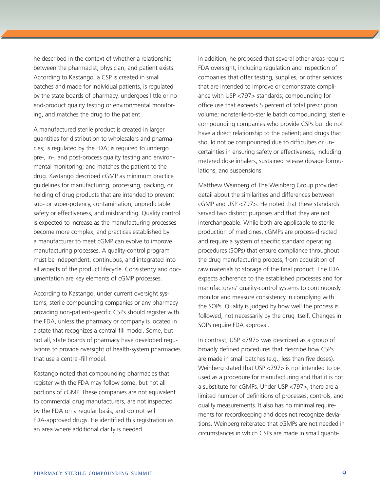he described in the context of whether a relationship between the pharmacist, physician, and patient exists. According to Kastango, a CSP is created in small batches and made for individual patients, is regulated by the state boards of pharmacy, undergoes little or no end-product quality testing or environmental monitoring, and matches the drug to the patient.

A manufactured sterile product is created in larger quantities for distribution to wholesalers and pharmacies; is regulated by the FDA; is required to undergo pre-, in-, and post-process quality testing and environmental monitoring; and matches the patient to the drug. Kastango described cGMP as minimum practice guidelines for manufacturing, processing, packing, or holding of drug products that are intended to prevent sub- or super-potency, contamination, unpredictable safety or effectiveness, and misbranding. Quality control is expected to increase as the manufacturing processes become more complex, and practices established by a manufacturer to meet cGMP can evolve to improve manufacturing processes. A quality-control program must be independent, continuous, and integrated into all aspects of the product lifecycle. Consistency and documentation are key elements of cGMP processes.

According to Kastango, under current oversight systems, sterile compounding companies or any pharmacy providing non-patient-specific CSPs should register with the FDA, unless the pharmacy or company is located in a state that recognizes a central-fill model. Some, but not all, state boards of pharmacy have developed regulations to provide oversight of health-system pharmacies that use a central-fill model.

Kastango noted that compounding pharmacies that register with the FDA may follow some, but not all portions of cGMP. These companies are not equivalent to commercial drug manufacturers, are not inspected by the FDA on a regular basis, and do not sell FDA-approved drugs. He identified this registration as an area where additional clarity is needed.

In addition, he proposed that several other areas require FDA oversight, including regulation and inspection of companies that offer testing, supplies, or other services that are intended to improve or demonstrate compliance with USP <797> standards; compounding for office use that exceeds 5 percent of total prescription volume; nonsterile-to-sterile batch compounding; sterile compounding companies who provide CSPs but do not have a direct relationship to the patient; and drugs that should not be compounded due to difficulties or uncertainties in ensuring safety or effectiveness, including metered dose inhalers, sustained release dosage formulations, and suspensions.

Matthew Weinberg of The Weinberg Group provided detail about the similarities and differences between cGMP and USP <797>. He noted that these standards served two distinct purposes and that they are not interchangeable. While both are applicable to sterile production of medicines, cGMPs are process-directed and require a system of specific standard operating procedures (SOPs) that ensure compliance throughout the drug manufacturing process, from acquisition of raw materials to storage of the final product. The FDA expects adherence to the established processes and for manufacturers' quality-control systems to continuously monitor and measure consistency in complying with the SOPs. Quality is judged by how well the process is followed, not necessarily by the drug itself. Changes in SOPs require FDA approval.

In contrast, USP <797> was described as a group of broadly defined procedures that describe how CSPs are made in small batches (e.g., less than five doses). Weinberg stated that USP <797> is not intended to be used as a procedure for manufacturing and that it is not a substitute for cGMPs. Under USP <797>, there are a limited number of definitions of processes, controls, and quality measurements. It also has no minimal requirements for recordkeeping and does not recognize deviations. Weinberg reiterated that cGMPs are not needed in circumstances in which CSPs are made in small quanti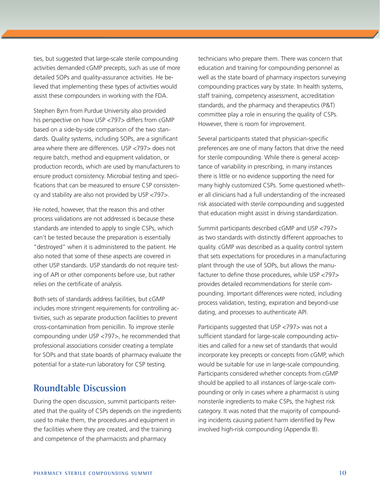ties, but suggested that large-scale sterile compounding activities demanded cGMP precepts, such as use of more detailed SOPs and quality-assurance activities. He believed that implementing these types of activities would assist these compounders in working with the FDA.

Stephen Byrn from Purdue University also provided his perspective on how USP <797> differs from cGMP based on a side-by-side comparison of the two standards. Quality systems, including SOPs, are a significant area where there are differences. USP <797> does not require batch, method and equipment validation, or production records, which are used by manufacturers to ensure product consistency. Microbial testing and specifications that can be measured to ensure CSP consistency and stability are also not provided by USP <797>.

He noted, however, that the reason this and other process validations are not addressed is because these standards are intended to apply to single CSPs, which can't be tested because the preparation is essentially "destroyed" when it is administered to the patient. He also noted that some of these aspects are covered in other USP standards. USP standards do not require testing of API or other components before use, but rather relies on the certificate of analysis.

Both sets of standards address facilities, but cGMP includes more stringent requirements for controlling activities, such as separate production facilities to prevent cross-contamination from penicillin. To improve sterile compounding under USP <797>, he recommended that professional associations consider creating a template for SOPs and that state boards of pharmacy evaluate the potential for a state-run laboratory for CSP testing.

#### **Roundtable Discussion**

During the open discussion, summit participants reiterated that the quality of CSPs depends on the ingredients used to make them, the procedures and equipment in the facilities where they are created, and the training and competence of the pharmacists and pharmacy

technicians who prepare them. There was concern that education and training for compounding personnel as well as the state board of pharmacy inspectors surveying compounding practices vary by state. In health systems, staff training, competency assessment, accreditation standards, and the pharmacy and therapeutics (P&T) committee play a role in ensuring the quality of CSPs. However, there is room for improvement.

Several participants stated that physician-specific preferences are one of many factors that drive the need for sterile compounding. While there is general acceptance of variability in prescribing, in many instances there is little or no evidence supporting the need for many highly customized CSPs. Some questioned whether all clinicians had a full understanding of the increased risk associated with sterile compounding and suggested that education might assist in driving standardization.

Summit participants described cGMP and USP <797> as two standards with distinctly different approaches to quality. cGMP was described as a quality control system that sets expectations for procedures in a manufacturing plant through the use of SOPs, but allows the manufacturer to define those procedures, while USP <797> provides detailed recommendations for sterile compounding. Important differences were noted, including process validation, testing, expiration and beyond-use dating, and processes to authenticate API.

Participants suggested that USP <797> was not a sufficient standard for large-scale compounding activities and called for a new set of standards that would incorporate key precepts or concepts from cGMP, which would be suitable for use in large-scale compounding. Participants considered whether concepts from cGMP should be applied to all instances of large-scale compounding or only in cases where a pharmacist is using nonsterile ingredients to make CSPs, the highest risk category. It was noted that the majority of compounding incidents causing patient harm identified by Pew involved high-risk compounding (Appendix B).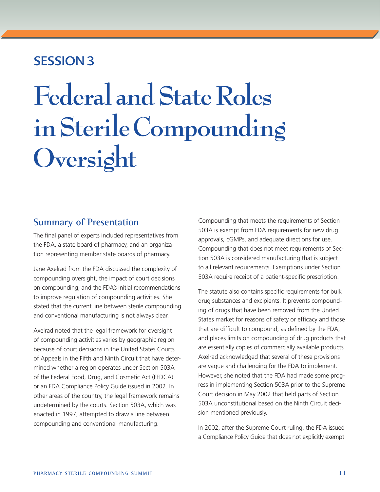## SESSION 3

# **Federal and State Roles in Sterile Compounding Oversight**

#### **Summary of Presentation**

The final panel of experts included representatives from the FDA, a state board of pharmacy, and an organization representing member state boards of pharmacy.

Jane Axelrad from the FDA discussed the complexity of compounding oversight, the impact of court decisions on compounding, and the FDA's initial recommendations to improve regulation of compounding activities. She stated that the current line between sterile compounding and conventional manufacturing is not always clear.

Axelrad noted that the legal framework for oversight of compounding activities varies by geographic region because of court decisions in the United States Courts of Appeals in the Fifth and Ninth Circuit that have determined whether a region operates under Section 503A of the Federal Food, Drug, and Cosmetic Act (FFDCA) or an FDA Compliance Policy Guide issued in 2002. In other areas of the country, the legal framework remains undetermined by the courts. Section 503A, which was enacted in 1997, attempted to draw a line between compounding and conventional manufacturing.

Compounding that meets the requirements of Section 503A is exempt from FDA requirements for new drug approvals, cGMPs, and adequate directions for use. Compounding that does not meet requirements of Section 503A is considered manufacturing that is subject to all relevant requirements. Exemptions under Section 503A require receipt of a patient-specific prescription.

The statute also contains specific requirements for bulk drug substances and excipients. It prevents compounding of drugs that have been removed from the United States market for reasons of safety or efficacy and those that are difficult to compound, as defined by the FDA, and places limits on compounding of drug products that are essentially copies of commercially available products. Axelrad acknowledged that several of these provisions are vague and challenging for the FDA to implement. However, she noted that the FDA had made some progress in implementing Section 503A prior to the Supreme Court decision in May 2002 that held parts of Section 503A unconstitutional based on the Ninth Circuit decision mentioned previously.

In 2002, after the Supreme Court ruling, the FDA issued a Compliance Policy Guide that does not explicitly exempt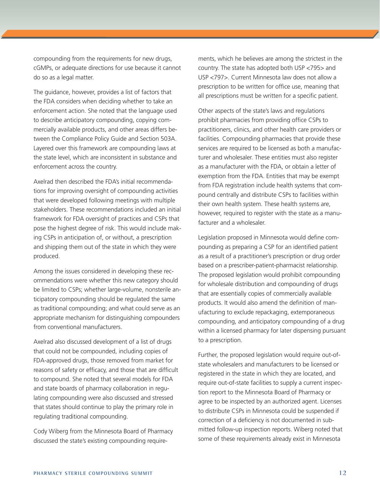compounding from the requirements for new drugs, cGMPs, or adequate directions for use because it cannot do so as a legal matter.

The guidance, however, provides a list of factors that the FDA considers when deciding whether to take an enforcement action. She noted that the language used to describe anticipatory compounding, copying commercially available products, and other areas differs between the Compliance Policy Guide and Section 503A. Layered over this framework are compounding laws at the state level, which are inconsistent in substance and enforcement across the country.

Axelrad then described the FDA's initial recommendations for improving oversight of compounding activities that were developed following meetings with multiple stakeholders. These recommendations included an initial framework for FDA oversight of practices and CSPs that pose the highest degree of risk. This would include making CSPs in anticipation of, or without, a prescription and shipping them out of the state in which they were produced.

Among the issues considered in developing these recommendations were whether this new category should be limited to CSPs; whether large-volume, nonsterile anticipatory compounding should be regulated the same as traditional compounding; and what could serve as an appropriate mechanism for distinguishing compounders from conventional manufacturers.

Axelrad also discussed development of a list of drugs that could not be compounded, including copies of FDA-approved drugs, those removed from market for reasons of safety or efficacy, and those that are difficult to compound. She noted that several models for FDA and state boards of pharmacy collaboration in regulating compounding were also discussed and stressed that states should continue to play the primary role in regulating traditional compounding.

Cody Wiberg from the Minnesota Board of Pharmacy discussed the state's existing compounding require-

ments, which he believes are among the strictest in the country. The state has adopted both USP <795> and USP <797>. Current Minnesota law does not allow a prescription to be written for office use, meaning that all prescriptions must be written for a specific patient.

Other aspects of the state's laws and regulations prohibit pharmacies from providing office CSPs to practitioners, clinics, and other health care providers or facilities. Compounding pharmacies that provide these services are required to be licensed as both a manufacturer and wholesaler. These entities must also register as a manufacturer with the FDA, or obtain a letter of exemption from the FDA. Entities that may be exempt from FDA registration include health systems that compound centrally and distribute CSPs to facilities within their own health system. These health systems are, however, required to register with the state as a manufacturer and a wholesaler.

Legislation proposed in Minnesota would define compounding as preparing a CSP for an identified patient as a result of a practitioner's prescription or drug order based on a prescriber-patient-pharmacist relationship. The proposed legislation would prohibit compounding for wholesale distribution and compounding of drugs that are essentially copies of commercially available products. It would also amend the definition of manufacturing to exclude repackaging, extemporaneous compounding, and anticipatory compounding of a drug within a licensed pharmacy for later dispensing pursuant to a prescription.

Further, the proposed legislation would require out-ofstate wholesalers and manufacturers to be licensed or registered in the state in which they are located, and require out-of-state facilities to supply a current inspection report to the Minnesota Board of Pharmacy or agree to be inspected by an authorized agent. Licenses to distribute CSPs in Minnesota could be suspended if correction of a deficiency is not documented in submitted follow-up inspection reports. Wiberg noted that some of these requirements already exist in Minnesota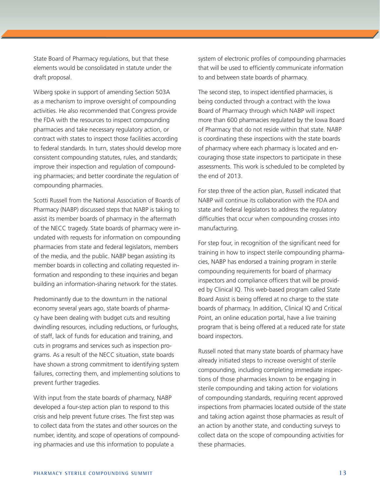State Board of Pharmacy regulations, but that these elements would be consolidated in statute under the draft proposal.

Wiberg spoke in support of amending Section 503A as a mechanism to improve oversight of compounding activities. He also recommended that Congress provide the FDA with the resources to inspect compounding pharmacies and take necessary regulatory action, or contract with states to inspect those facilities according to federal standards. In turn, states should develop more consistent compounding statutes, rules, and standards; improve their inspection and regulation of compounding pharmacies; and better coordinate the regulation of compounding pharmacies.

Scotti Russell from the National Association of Boards of Pharmacy (NABP) discussed steps that NABP is taking to assist its member boards of pharmacy in the aftermath of the NECC tragedy. State boards of pharmacy were inundated with requests for information on compounding pharmacies from state and federal legislators, members of the media, and the public. NABP began assisting its member boards in collecting and collating requested information and responding to these inquiries and began building an information-sharing network for the states.

Predominantly due to the downturn in the national economy several years ago, state boards of pharmacy have been dealing with budget cuts and resulting dwindling resources, including reductions, or furloughs, of staff, lack of funds for education and training, and cuts in programs and services such as inspection programs. As a result of the NECC situation, state boards have shown a strong commitment to identifying system failures, correcting them, and implementing solutions to prevent further tragedies.

With input from the state boards of pharmacy, NABP developed a four-step action plan to respond to this crisis and help prevent future crises. The first step was to collect data from the states and other sources on the number, identity, and scope of operations of compounding pharmacies and use this information to populate a

system of electronic profiles of compounding pharmacies that will be used to efficiently communicate information to and between state boards of pharmacy.

The second step, to inspect identified pharmacies, is being conducted through a contract with the Iowa Board of Pharmacy through which NABP will inspect more than 600 pharmacies regulated by the Iowa Board of Pharmacy that do not reside within that state. NABP is coordinating these inspections with the state boards of pharmacy where each pharmacy is located and encouraging those state inspectors to participate in these assessments. This work is scheduled to be completed by the end of 2013.

For step three of the action plan, Russell indicated that NABP will continue its collaboration with the FDA and state and federal legislators to address the regulatory difficulties that occur when compounding crosses into manufacturing.

For step four, in recognition of the significant need for training in how to inspect sterile compounding pharmacies, NABP has endorsed a training program in sterile compounding requirements for board of pharmacy inspectors and compliance officers that will be provided by Clinical IQ. This web-based program called State Board Assist is being offered at no charge to the state boards of pharmacy. In addition, Clinical IQ and Critical Point, an online education portal, have a live training program that is being offered at a reduced rate for state board inspectors.

Russell noted that many state boards of pharmacy have already initiated steps to increase oversight of sterile compounding, including completing immediate inspections of those pharmacies known to be engaging in sterile compounding and taking action for violations of compounding standards, requiring recent approved inspections from pharmacies located outside of the state and taking action against those pharmacies as result of an action by another state, and conducting surveys to collect data on the scope of compounding activities for these pharmacies.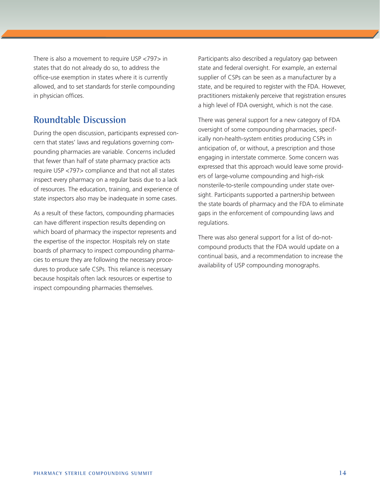There is also a movement to require USP <797> in states that do not already do so, to address the office-use exemption in states where it is currently allowed, and to set standards for sterile compounding in physician offices.

#### **Roundtable Discussion**

During the open discussion, participants expressed concern that states' laws and regulations governing compounding pharmacies are variable. Concerns included that fewer than half of state pharmacy practice acts require USP <797> compliance and that not all states inspect every pharmacy on a regular basis due to a lack of resources. The education, training, and experience of state inspectors also may be inadequate in some cases.

As a result of these factors, compounding pharmacies can have different inspection results depending on which board of pharmacy the inspector represents and the expertise of the inspector. Hospitals rely on state boards of pharmacy to inspect compounding pharmacies to ensure they are following the necessary procedures to produce safe CSPs. This reliance is necessary because hospitals often lack resources or expertise to inspect compounding pharmacies themselves.

Participants also described a regulatory gap between state and federal oversight. For example, an external supplier of CSPs can be seen as a manufacturer by a state, and be required to register with the FDA. However, practitioners mistakenly perceive that registration ensures a high level of FDA oversight, which is not the case.

There was general support for a new category of FDA oversight of some compounding pharmacies, specifically non-health-system entities producing CSPs in anticipation of, or without, a prescription and those engaging in interstate commerce. Some concern was expressed that this approach would leave some providers of large-volume compounding and high-risk nonsterile-to-sterile compounding under state oversight. Participants supported a partnership between the state boards of pharmacy and the FDA to eliminate gaps in the enforcement of compounding laws and regulations.

There was also general support for a list of do-notcompound products that the FDA would update on a continual basis, and a recommendation to increase the availability of USP compounding monographs.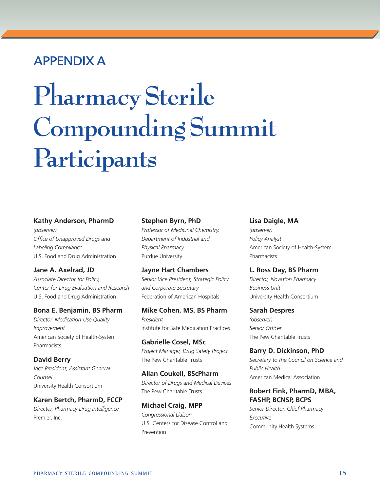## Appendix A

# **Pharmacy Sterile Compounding Summit Participants**

#### **Kathy Anderson, PharmD**

*(observer) Office of Unapproved Drugs and Labeling Compliance* U.S. Food and Drug Administration

#### **Jane A. Axelrad, JD**

*Associate Director for Policy, Center for Drug Evaluation and Research* U.S. Food and Drug Administration

#### **Bona E. Benjamin, BS Pharm**

*Director, Medication-Use Quality Improvement* American Society of Health-System Pharmacists

**David Berry** *Vice President, Assistant General Counsel* University Health Consortium

#### **Karen Bertch, PharmD, FCCP**

*Director, Pharmacy Drug Intelligence*  Premier, Inc.

#### **Stephen Byrn, PhD**

*Professor of Medicinal Chemistry, Department of Industrial and Physical Pharmacy* Purdue University

**Jayne Hart Chambers** *Senior Vice President, Strategic Policy and Corporate Secretary* Federation of American Hospitals

**Mike Cohen, MS, BS Pharm** *President* Institute for Safe Medication Practices

**Gabrielle Cosel, MSc** *Project Manager, Drug Safety Project* The Pew Charitable Trusts

**Allan Coukell, BScPharm** *Director of Drugs and Medical Devices*  The Pew Charitable Trusts

**Michael Craig, MPP** *Congressional Liaison*  U.S. Centers for Disease Control and Prevention

#### **Lisa Daigle, MA**

*(observer) Policy Analyst* American Society of Health-System Pharmacists

**L. Ross Day, BS Pharm**

*Director, Novation Pharmacy Business Unit* University Health Consortium

**Sarah Despres** *(observer) Senior Officer* The Pew Charitable Trusts

**Barry D. Dickinson, PhD** *Secretary to the Council on Science and Public Health* American Medical Association

#### **Robert Fink, PharmD, MBA, FASHP, BCNSP, BCPS**

*Senior Director, Chief Pharmacy Executive* Community Health Systems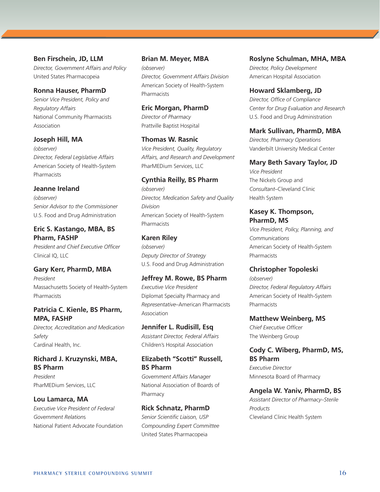**Ben Firschein, JD, LLM**

*Director, Government Affairs and Policy* United States Pharmacopeia

#### **Ronna Hauser, PharmD**

*Senior Vice President, Policy and Regulatory Affairs* National Community Pharmacists Association

#### **Joseph Hill, MA**

*(observer) Director, Federal Legislative Affairs* American Society of Health-System Pharmacists

#### **Jeanne Ireland**

*(observer) Senior Advisor to the Commissioner* U.S. Food and Drug Administration

#### **Eric S. Kastango, MBA, BS Pharm, FASHP**

*President and Chief Executive Officer* Clinical IQ, LLC

#### **Gary Kerr, PharmD, MBA**

*President* Massachusetts Society of Health-System **Pharmacists** 

#### **Patricia C. Kienle, BS Pharm, MPA, FASHP**

*Director, Accreditation and Medication Safety* Cardinal Health, Inc.

#### **Richard J. Kruzynski, MBA, BS Pharm**

*President*  PharMEDium Services, LLC

#### **Lou Lamarca, MA**

*Executive Vice President of Federal Government Relation*s National Patient Advocate Foundation

#### **Brian M. Meyer, MBA**  *(observer) Director, Government Affairs Division* American Society of Health-System **Pharmacists**

**Eric Morgan, PharmD** *Director of Pharmacy* Prattville Baptist Hospital

**Thomas W. Rasnic** *Vice President, Quality, Regulatory Affairs, and Research and Development* PharMEDium Services, LLC

#### **Cynthia Reilly, BS Pharm**

*(observer) Director, Medication Safety and Quality Division* American Society of Health-System **Pharmacists** 

#### **Karen Riley**

*(observer) Deputy Director of Strategy* U.S. Food and Drug Administration

#### **Jeffrey M. Rowe, BS Pharm**

*Executive Vice President* Diplomat Specialty Pharmacy and *Representative*–American Pharmacists Association

#### **Jennifer L. Rudisill, Esq**

*Assistant Director, Federal Affairs* Children's Hospital Association

#### **Elizabeth "Scotti" Russell, BS Pharm**

*Government Affairs Manager* National Association of Boards of Pharmacy

#### **Rick Schnatz, PharmD**

*Senior Scientific Liaison, USP Compounding Expert Committee* United States Pharmacopeia

**Roslyne Schulman, MHA, MBA** *Director, Policy Development* American Hospital Association

#### **Howard Sklamberg, JD** *Director, Office of Compliance Center for Drug Evaluation and Research* U.S. Food and Drug Administration

#### **Mark Sullivan, PharmD, MBA**

*Director, Pharmacy Operations* Vanderbilt University Medical Center

#### **Mary Beth Savary Taylor, JD**

*Vice President*  The Nickels Group and *Consultant*–Cleveland Clinic Health System

#### **Kasey K. Thompson, PharmD, MS**

*Vice President, Policy, Planning, and Communications* American Society of Health-System Pharmacists

#### **Christopher Topoleski**

*(observer) Director, Federal Regulatory Affairs* American Society of Health-System Pharmacists

**Matthew Weinberg, MS** *Chief Executive Officer*

The Weinberg Group

#### **Cody C. Wiberg, PharmD, MS, BS Pharm**

*Executive Director* Minnesota Board of Pharmacy

#### **Angela W. Yaniv, PharmD, BS**

*Assistant Director of Pharmacy–Sterile Products* Cleveland Clinic Health System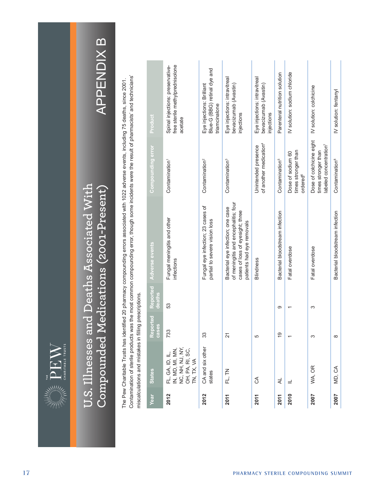

# **U.S. Illnesses and Deaths Associated With**  U.S. Illnesses and Deaths Associated With **Compounded Medications (2001-Present)**  $\operatorname{Combounded}\operatorname{Medications}\left(\text{2001-Present}\right)$

# **APPENDIX B** APPENDIX B

Contamination of sterile products was the most common compounding error, though some incidents were the result of pharmacists' and technicians' Contamination of sterile products was the most common compounding error, though some incidents were the result of pharmacists' and technicians' The Pew Charitable Trusts has identified 20 pharmacy compounding errors associated with 1022 adverse events, including 75 deaths, since 2001. The Pew Charitable Trusts has identified 20 pharmacy compounding errors associated with 1022 adverse events, including 75 deaths, since 2001. miscalculations and mistakes in filling prescriptions. miscalculations and mistakes in filling prescriptions.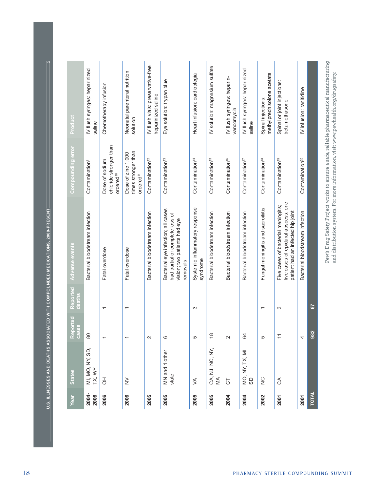| sso                                                                                                                        |  |
|----------------------------------------------------------------------------------------------------------------------------|--|
| i                                                                                                                          |  |
| $\frac{1}{2}$<br>Ì<br>l                                                                                                    |  |
| h<br>Í<br>ŀ                                                                                                                |  |
| l<br>۰<br>֕                                                                                                                |  |
| ۱<br>ł<br>ï<br>ì                                                                                                           |  |
| י<br>ו<br>X<br>l<br>l<br>j                                                                                                 |  |
| ļ<br>Ý.<br>ł<br>Ĥ<br>I<br>í                                                                                                |  |
|                                                                                                                            |  |
| de la propieta de la propieta de la propieta de la propieta de la propieta de la propieta de la propieta de la<br>$\sigma$ |  |

| Year          | <b>States</b>             | teported<br>Report<br>cases | Reported<br>deaths       | Adverse events                                                                                                    | Compounding error                                                  | Product                                                                                          |
|---------------|---------------------------|-----------------------------|--------------------------|-------------------------------------------------------------------------------------------------------------------|--------------------------------------------------------------------|--------------------------------------------------------------------------------------------------|
| 2004-<br>2006 | MI, MO, NY, SD,<br>TX, WY | 80                          |                          | Bacterial bloodstream infection                                                                                   | Contamination <sup>9</sup>                                         | IV flush syringes: heparinized<br>saline                                                         |
| 2006          | 공                         |                             | $\overline{\phantom{0}}$ | Fatal overdose                                                                                                    | chloride stronger than<br>Dose of sodium<br>ordered <sup>10</sup>  | Chemotherapy infusion                                                                            |
| 2006          | $\geq$                    |                             | T                        | Fatal overdose                                                                                                    | times stronger than<br>Dose of zinc 1,000<br>ordered <sup>11</sup> | Neonatal parenteral nutrition<br>solution                                                        |
| 2005          |                           | $\mathbf{\Omega}$           |                          | Bacterial bloodstream infection                                                                                   | Contamination <sup>12</sup>                                        | IV flush vials: preservative-free<br>heparinized saline                                          |
| 2005          | MN and 1 other<br>state   | 6                           |                          | Bacterial eye infection; all cases<br>had partial or complete loss of<br>vision; two patients had eye<br>removals | Contamination <sup>13</sup>                                        | Eye solution: trypan blue                                                                        |
| 2005          | ≶                         | ιΩ                          | S                        | Systemic inflammatory response<br>syndrome                                                                        | Contamination <sup>14</sup>                                        | Heart infusion: cardioplegia                                                                     |
| 2005          | CA, NJ, NC, NY,<br>MA     | $\infty$                    |                          | Bacterial bloodstream infection                                                                                   | Contamination <sup>15</sup>                                        | IV solution: magnesium sulfate                                                                   |
| 2004          | $\overline{C}$            | $\sim$                      |                          | Bacterial bloodstream infection                                                                                   | Contamination <sup>16</sup>                                        | IV flush syringes: heparin-<br>vancomycin                                                        |
| 2004          | MO, NY, TX, MI,<br>SD     | 64                          |                          | Bacterial bloodstream infection                                                                                   | Contamination <sup>17</sup>                                        | IV flush syringes: heparinized<br>saline                                                         |
| 2002          | $\frac{C}{Z}$             | ιΩ                          | T                        | Fungal meningitis and sacroilitis                                                                                 | Contamination <sup>18</sup>                                        | methylprednisolone acetate<br>Spinal injections:                                                 |
| 2001          | E                         | $\overline{\phantom{0}}$    | S                        | five cases of epidural abscess; one<br>Five cases of bacterial meningitis;<br>patient had an infected hip joint   | Contamination <sup>19</sup>                                        | Spinal or joint injections:<br>betamethasone                                                     |
| 2001          |                           | 4                           |                          | Bacterial bloodstream infection                                                                                   | Contamination <sup>20</sup>                                        | IV infusion: ranitidine                                                                          |
| <b>TOTAL</b>  |                           | 982                         | 57                       |                                                                                                                   |                                                                    |                                                                                                  |
|               |                           |                             |                          | and distribution system. For more information, visit www.pewhealth.org/drugsafety.                                |                                                                    | $\text{Pew}'s$ Drug Safety Project works to ensure a safe, reliable pharmaceutical manufacturing |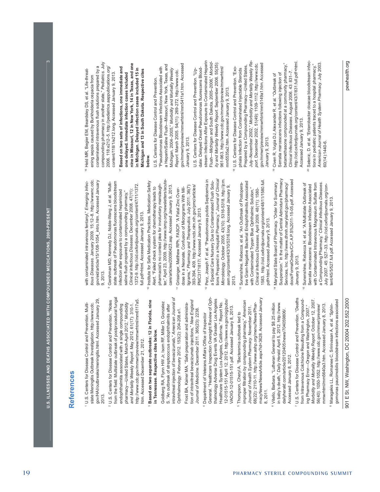## References **References**

gov/HAI/outbreaks/meningitis.html. Accessed January 29, gov/HAI/outbreaks/meningitis.html. Accessed January 29, U.S. Centers for Disease Control and Prevention. Multi-1 U.S. Centers for Disease Control and Prevention. Multistate Meningitis Outbreak Investigation. http://www.cdc. state Meningitis Outbreak Investigation. http://www.cdc. 2013.

from the field: Multistate outbreak of postprocedural fungal from the field: Multistate outbreak of postprocedural fungal 2 U.S. Centers for Disease Control and Prevention. "Notes http://www.cdc.gov/mmwr/preview/mmwrhtml/mm6117a5. http://www.cdc.gov/mmwr/preview/mmwrhtml/mm6117a5. U.S. Centers for Disease Control and Prevention. "Notes pharmacy-United States, March-April 2012," Morbidity pharmacy—United States, March-April 2012," *Morbidity and Mortality Weekly Report*. May 2012. 61(17): 310-1. endophthalmitis associated with a single compounding endophthalmitis associated with a single compounding and Mortality Weekly Report. May 2012. 61(17): 310-1. htm. Accessed December 21, 2012. htm. Accessed December 21, 2012.

## **Based on two separate outbreaks: 12 in Florida, nine**  Based on two separate outbreaks: 12 in Florida, nine in Tennessee. Respective cites below. **in Tennessee. Respective cites below.**

intravitreal injection of bevacizumab," *American Jounral of*  intravitreal injection of bevacizumab," American Jounral of Goldberg RA, Flynn HW Jr, Isom RF, Miller D, Gonzalez Goldberg RA, Flynn HW Jr, Isom RF, Miller D, Gonzalez S. "An outbreak of streptococcus endophthalmitis after S. "An outbreak of streptococcus endophthalmitis after Ophthalmology. February 2012. 153(2): 204-208.e1. *Ophthalmology*. February 2012. 153(2): 204-208.e1.

tion of intravitreal bevacizumab injections," *New England*  tion of intravitreal bevacizumab injections," New England Frost BA, Kainer MA. "Safe preparation and administra- Frost BA, Kainer MA. "Safe preparation and administra-*Journal of Medicine*. December 2011. 365(23): 2238. Journal of Medicine. December 2011. 365(23): 2238.

- General. "Healthcare Inspection Oversight Review of Oph-General. "Healthcare Inspection Oversight Review of Ophthalmology Adverse Drug Events VA Greater Los Angeles thalmology Adverse Drug Events VA Greater Los Angeles 12-01515-151 April 12, 2012. http://www.va.gov/oig/pubs/ 12-01515-151 April 12, 2012. http://www.va.gov/oig/pubs/ Healthcare System Los Angeles, California." Report No. Healthcare System Los Angeles, California." Report No. VAOIG-12-01515-151.pdf. Accessed January 8, 2013. VAOIG-12-01515-151.pdf. Accessed January 8, 2013. Department of Veterans Affairs Office of Inspector <sup>4</sup> Department of Veterans Affairs Office of Inspector
- macyNews/NewsArticle.aspx?id=3628. Accessed January macyNews/NewsArticle.aspx?id=3628. Accessed January improper fi ltration by compounding pharmacy," *American*  improper filtration by compounding pharmacy," American 68(22): 2110-11. http://www.ashp.org/menu/News/Phar-68(22): 2110-11. http://www.ashp.org/menu/News/Phar-Journal of Health System Pharmacy. November 2011. *Journal of Health System Pharmacy*. November 2011. Thompson, Cheryl A. "Bacteremia outbreak tied to 5 Thompson, Cheryl A. "Bacteremia outbreak tied to 8, 2011.
- Vitello, Barbara. "Lutheran General to pay \$8.25 million 6 Vitello, Barbara. "Lutheran General to pay \$8.25 million in baby's death," Daily Herald. April 5, 2012. http://www. in baby's death," *Daily Herald*. April 5, 2012. http://www. dailyherald.com/article/20120405/news/704059806/. dailyherald.com/article/20120405/news/704059806/. Accessed January 8, 2012. Accessed January 8, 2012.
- 7 U.S. Centers for Disease Control and Prevention. "Deaths *Morbidity and Mortality Weekly Report*. October 12, 2007. U.S. Centers for Disease Control and Prevention. "Deaths from Intravenous Colchicine Resulting from a Compoundfrom Intravenous Colchicine Resulting from a Compound-Morbidity and Mortality Weekly Report. October 12, 2007. mmwrhtml/mm5640a3.htm. Accessed January 8, 2013. mmwrhtml/mm5640a3.htm. Accessed January 8, 2013. 56(40): 1050-1052. http://www.cdc.gov/mmwr/preview/ 56(40): 1050-1052. http://www.cdc.gov/mmwr/preview/ ing Pharmacy Error—Oregon and Washington, 2007," ing Pharmacy Error—Oregon and Washington, 2007,"
- gomonas paucimobilis bloodstream infections associated gomonas paucimobilis bloodstream infections associated Maragakis LL, Romanee C, Srinivasan A, et al. "Sphin-8 Maragakis LL, Romanee C, Srinivasan A, et al. "Sphin-

901 E St. NW, Washington, DC 20004 202.552.2000 pewhealth.org 901 E St. NW, Washington, DC 20004 202.552.2000

tious Diseases. January 2009. 15:12-8. http://www.c.cdc. *tious Diseases.* January 2009. 15:12–8. http://wwwnc.cdc. gov/eid/article/15/1/08-1054\_intro.htm. Accessed January gov/eid/article/15/1/08-1054\_intro.htm. Accessed January with contaminated intravenous fentanyl," Emerging Infecwith contaminated intravenous fentanyl," *Emerging Infec-*9, 2013.

- state outbreak of Pseudomonas fluorescens bloodstream state outbreak of Pseudomonas fluorescens bloodstream Gershman MD, Kennedy DJ, Noble-Wang J, et al. "Multi-9 Gershman MD, Kennedy DJ, Noble-Wang J, et al. "Multi-1372-9. http://cid.oxfordjournals.org/content/47/11/1372. 1372-9. http://cid.oxfordjournals.org/content/47/11/1372. *Clinical Infectious Diseases.* December 2008. 47(11): infection after exposure to contaminated heparinized infection after exposure to contaminated heparinized Clinical Infectious Diseases. December 2008. 47(11): saline flush prepared by a compounding pharmacy," saline flush prepared by a compounding pharmacy," full.pdf+html. Accessed January 9, 2013. full.pdf+html. Accessed January 9, 2013.
- ter," April 23, 2009. http://www.ismp.org/newsletters/acuteter," April 23, 2009. http://www.ismp.org/newsletters/acute-10 Institute for Safe Medication Practices. Medication Safety Institute for Safe Medication Practices. Medication Safety pharmacist's no contest plea for involuntary manslaughpharmacist's no contest plea for involuntary manslaughcare/articles/20090423.asp. Accessed January 9, 2013. care/articles/20090423.asp. Accessed January 9, 2013. Alert. "Failed check system for chemotherapy leads to Alert. "Failed check system for chemotherapy leads to
- ligrams," *Pharmacy and Therapeutics.* July 2011; 36(7): ligrams," Pharmacy and Therapeutics. July 2011; 36(7): 393-394, 409. http://www.ncbi.nlm.nih.gov/pmc/articles/ 393-394, 409. http://www.ncbi.nlm.nih.gov/pmc/articles/ dose in a Neonate. Confusion of Micrograms With Mildose in a Neonate. Confusion of Micrograms With Mil-Grissinger, Matthew RPh, FASCP. "A Fatal Zinc Over-11 Grissinger, Matthew RPh, FASCP. "A Fatal Zinc Over-PMC3171817/. Accessed January 9, 2013. PMC3171817/. Accessed January 9, 2013.
- tions Prepared in a Hospital Pharmacy," *Journal of Clinical*  <sup>2</sup> Perz, Joseph F. et al. "Pseudomonas putida Septicemia in 12 Perz, Joseph F. et al. "Pseudomonas putida Septicemia in tions Prepared in a Hospital Pharmacy," Journal of Clinical Microbiology. October 2005. 43(10): 5316-5318. http://jcm *Microbiology.* October 2005. 43(10): 5316-5318. http://jcm. a Special Care Nursery Due to Contaminated Flush Solua Special Care Nursery Due to Contaminated Flush Soluasm.org/content/43/10/5316.long. Accessed January 9, asm.org/content/43/10/5316.long. Accessed January 9, 2013.
- 1583. http://cid.oxfordjournals.org/content/48/11/1580.full. tive Gram-Negative Bacterial Endophthalmitis Associated tive Gram-Negative Bacterial Endophthalmitis Associated 1583. http://cid.oxfordjournals.org/content/48/11/1580.full. Sunenshine, Rebecca. et al. "An Outbreak of Postopera- 13 Sunenshine, Rebecca. et al. "An Outbreak of Postoperawith Contaminated Trypan Blue Ophthalmic Solution," with Contaminated Trypan Blue Ophthalmic Solution," Clinical Infectious Diseases. April 2009. 48(11): 1580-*Clinical Infectious Diseases*. April 2009. 48(11): 1580 pdf+html. Accessed January 9, 2013. pdf+html. Accessed January 9, 2013.
- Suspension." In the matter of Central Admixture Pharmacy docs/FormalOrders/C/C.A.P.S%2011-15-05.pdf. Accessed Suspension." In the matter of Central Admixture Pharmacy docs/FormalOrders/C/C.A.P.S%2011-15-05.pdf. Accessed Maryland State Board of Pharmacy. "Order for Summary 14 Maryland State Board of Pharmacy. "Order for Summary Services, Inc. http://www.dhmh.maryland.gov/pharmacy/ Services, Inc. http://www.dhmh.maryland.gov/pharmacy/ January 9, 2013. January 9, 2013.
- a Compounding Pharmacy," *Clinical Infectious Diseases*. 15 Sunenshine, Rebecca H. et al. "A Multistate Outbreak of with Contaminated Intravenous Magnesium Sulfate from with Contaminated Intravenous Magnesium Sulfate from a Compounding Pharmacy," Clinical Infectious Diseases. Sunenshine, Rebecca H. et al. "A Multistate Outbreak of Serratia marcescens: Bloodstream Infection Associated Serratia marcescens: Bloodstream Infection Associated July 2007. 45: 527–33. http://cid.oxfordjournals.org/con-<br>tent/45/5/527.full.pdf. Accessed January 9, 2013. July 2007. 45: 527–33. http://cid.oxfordjournals.org/content/45/5/527.full.pdf. Accessed January 9, 2013.

compounding pharmacy in another state," *Pediatrics.* July compounding pharmacy in another state," Pediatrics. July contaminated intravenous flush solutions prepared by a contaminated intravenous flush solutions prepared by a 2006. 118:e212-5. http://pediatrics.aappublications.org/ 2006. 118:e212–5. http://pediatrics.aappublications.org/ Held MR, Begier EM, Beardsley DS, et al. "Life-threat- 16 Held MR, Begier EM, Beardsley DS, et al. "Life-threatcontent/118/1/e212.long. Accessed January 9, 2013. content/118/1/e212.long. Accessed January 9, 2013. ening sepsis caused by Burkholderia cepacia from ening sepsis caused by Burkholderia cepacia from

nine in Missouri, 12 in New York, 14 in Texas, and one **nine in Missouri, 12 in New York, 14 in Texas, and one**  Based on two sets of infections, one immediate and 17 **Based on two sets of infections, one immediate and**  in Michigan. Delayed infection cases included 15 in **in Michigan. Delayed infection cases included 15 in Michigan and 13 in South Dakota. Respective cites**  Michigan and 13 in South Dakota. Respective cites one delayed. Immediate infection cases included **one delayed. Immediate infection cases included below.**

gov/mmwr/preview/mmwrhtml/mm5411a1.htm. Accessed a Heparin/Saline Flush—Missouri, New York, Texas, and a Heparin/Saline Flush—Missouri, New York, Texas, and gov/mmwr/preview/mmwrhtml/mm5411a1.htm. Accessed "Pseudomonas Bloodstream Infections Associated with "Pseudomonas Bloodstream Infections Associated with Michigan, 2004-2005," Morbidity and Mortality Weekly Michigan, 2004–2005," *Morbidity and Mortality Weekly*  Report. March 2005. 54(11): 269-272. http://www.cdc. *Report*. March 2005. 54(11): 269-272. http://www.cdc. U.S. Centers for Disease Control and Prevention. U.S. Centers for Disease Control and Prevention. January 9, 2013. January 9, 2013.

stream Infections After Exposure to Contaminated Heparin stream Infections After Exposure to Contaminated Heparin *ity and Mortality Weekly Report*. September 2006. 55(35): Flush--Michigan and South Dakota, 2005-2006," Morbid-Flush—Michigan and South Dakota, 2005–2006," *Morbid*ity and Mortality Weekly Report. September 2006. 55(35): date: Delayed Onset Pseudomonas fluorescens Blood-961-963. http://www.cdc.gov/mmwr/preview/mmwrhtml/ 961-963. http://www.cdc.gov/mmwr/preview/mmwrhtml/ date: Delayed Onset Pseudomonas fluorescens Blood-U.S. Centers for Disease Control and Prevention. "Up- U.S. Centers for Disease Control and Prevention. "Upmm5535a2.htm. Accessed January 9, 2013. mm5535a2.htm. Accessed January 9, 2013.

- July–November 2002," *Morbidity and Mortality Weekly Re-*July-November 2002," Morbidity and Mortality Weekly Regov/mmwr/preview/mmwrhtml/mm5149a1.htm. Accessed gov/mmwr/preview/mmwrhtml/mm5149a1.htm. Accessed Prepared by a Compounding Pharmacy—United States, port. December 2002. 51(49): 1109-1112. http://www.cdc. *port*. December 2002. 51(49): 1109-1112. http://www.cdc. Prepared by a Compounding Pharmacy-United States, U.S. Centers for Disease Control and Prevention. "Exo- 18 U.S. Centers for Disease Control and Prevention. "Exophiala Infection from Contaminated Injectable Steroids phiala Infection from Contaminated Injectable Steroids January 9, 2013. January 9, 2013.
- http://cid.oxfordjournals.org/content/43/7/831.full.pdf+html. http://cid.oxfordjournals.org/content/43/7/831.full.pdf+html. betamethasone compounded at a community pharmacy," betamethasone compounded at a community pharmacy," *Clinical Infectious Diseases*. August 2006. 43: 831–7. Clinical Infectious Diseases. August 2006. 43: 831-7. Serratia marcescens infections following injection of Serratia marcescens infections following injection of 19 Civen R, Vugia DJ, Alexander R, et al. "Outbreak of Civen R, Vugia DJ, Alexander R, et al. "Outbreak of Accessed January 9, 2013. Accessed January 9, 2013.
- Selenic, D. et al. "Enterobacter cloacae bloodstream infec- 20 Selenic, D. et al. "Enterobacter cloacae bloodstream infec-*American Journal of Health System Pharmacy*. July 2003. American Journal of Health System Pharmacy. July 2003. tions in pediatric patients traced to a hospital pharmacy," tions in pediatric patients traced to a hospital pharmacy," 60(14):1440-6. 60(14):1440-6.